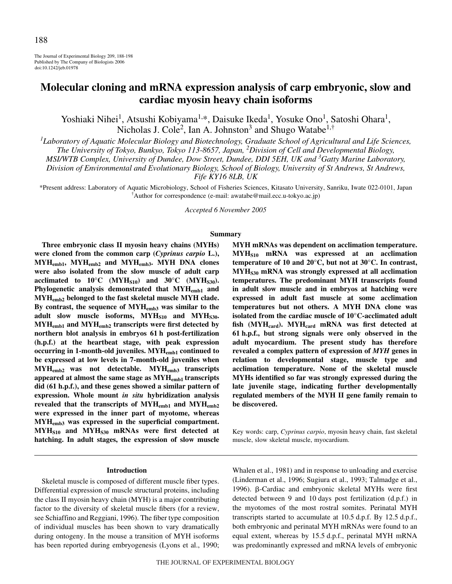The Journal of Experimental Biology 209, 188-198 Published by The Company of Biologists 2006 doi:10.1242/jeb.01978

# **Molecular cloning and mRNA expression analysis of carp embryonic, slow and cardiac myosin heavy chain isoforms**

Yoshiaki Nihei<sup>1</sup>, Atsushi Kobiyama<sup>1,\*</sup>, Daisuke Ikeda<sup>1</sup>, Yosuke Ono<sup>1</sup>, Satoshi Ohara<sup>1</sup>, Nicholas J. Cole<sup>2</sup>, Ian A. Johnston<sup>3</sup> and Shugo Watabe<sup>1,†</sup>

*1 Laboratory of Aquatic Molecular Biology and Biotechnology, Graduate School of Agricultural and Life Sciences,*

*The University of Tokyo, Bunkyo, Tokyo 113-8657, Japan, <sup>2</sup> Division of Cell and Developmental Biology,*

*MSI/WTB Complex, University of Dundee, Dow Street, Dundee, DDI 5EH, UK and <sup>3</sup> Gatty Marine Laboratory,*

*Division of Environmental and Evolutionary Biology, School of Biology, University of St Andrews, St Andrews,*

*Fife KY16 8LB, UK*

\*Present address: Laboratory of Aquatic Microbiology, School of Fisheries Sciences, Kitasato University, Sanriku, Iwate 022-0101, Japan † Author for correspondence (e-mail: awatabe@mail.ecc.u-tokyo.ac.jp)

*Accepted 6 November 2005*

### **Summary**

**Three embryonic class II myosin heavy chains (MYHs) were cloned from the common carp (***Cyprinus carpio* **L.), MYHemb1, MYHemb2 and MYHemb3. MYH DNA clones were also isolated from the slow muscle of adult carp** acclimated to  $10^{\circ}$ C (MYH<sub>S10</sub>) and  $30^{\circ}$ C (MYH<sub>S30</sub>). **Phylogenetic analysis demonstrated that MYHemb1 and MYHemb2 belonged to the fast skeletal muscle MYH clade. By contrast, the sequence of MYHemb3 was similar to the** adult slow muscle isoforms, MYH<sub>S10</sub> and MYH<sub>S30</sub>. **MYHemb1 and MYHemb2 transcripts were first detected by** northern blot analysis in embryos 61 h post-fertilization **(h.p.f.) at the heartbeat stage, with peak expression occurring in 1-month-old juveniles. MYHemb1 continued to be expressed at low levels in 7-month-old juveniles when MYHemb2 was not detectable. MYHemb3 transcripts appeared at almost the same stage as MYHemb1 transcripts** did (61 h.p.f.), and these genes showed a similar pattern of **expression. Whole mount** *in situ* **hybridization analysis** revealed that the transcripts of MYH<sub>emb1</sub> and MYH<sub>emb2</sub> **were expressed in the inner part of myotome, whereas MYHemb3 was expressed in the superficial compartment. MYHS10 and MYHS30 mRNAs were first detected at hatching. In adult stages, the expression of slow muscle**

#### **Introduction**

Skeletal muscle is composed of different muscle fiber types. Differential expression of muscle structural proteins, including the class II myosin heavy chain (MYH) is a major contributing factor to the diversity of skeletal muscle fibers (for a review, see Schiaffino and Reggiani, 1996). The fiber type composition of individual muscles has been shown to vary dramatically during ontogeny. In the mouse a transition of MYH isoforms has been reported during embryogenesis (Lyons et al., 1990; **MYH mRNAs was dependent on acclimation temperature. MYHS10 mRNA was expressed at an acclimation temperature of 10 and 20°C, but not at 30°C. In contrast, MYHS30 mRNA was strongly expressed at all acclimation temperatures. The predominant MYH transcripts found in adult slow muscle and in embryos at hatching were expressed in adult fast muscle at some acclimation temperatures but not others. A MYH DNA clone was isolated from the cardiac muscle of 10°C-acclimated adult fish (MYHcard). MYHcard mRNA was first detected at** 61 h.p.f., but strong signals were only observed in the **adult myocardium. The present study has therefore revealed a complex pattern of expression of** *MYH* **genes in relation to developmental stage, muscle type and acclimation temperature. None of the skeletal muscle MYHs identified so far was strongly expressed during the late juvenile stage, indicating further developmentally regulated members of the MYH II gene family remain to be discovered.**

Key words: carp, *Cyprinus carpio*, myosin heavy chain, fast skeletal muscle, slow skeletal muscle, myocardium.

Whalen et al., 1981) and in response to unloading and exercise (Linderman et al., 1996; Sugiura et al., 1993; Talmadge et al., 1996). β-Cardiac and embryonic skeletal MYHs were first detected between 9 and 10 days post fertilization (d.p.f.) in the myotomes of the most rostral somites. Perinatal MYH transcripts started to accumulate at  $10.5 d.p.f.$  By  $12.5 d.p.f.,$ both embryonic and perinatal MYH mRNAs were found to an equal extent, whereas by 15.5 d.p.f., perinatal MYH mRNA was predominantly expressed and mRNA levels of embryonic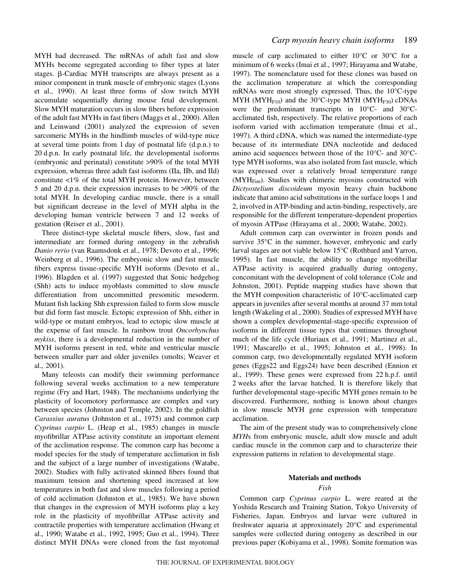MYH had decreased. The mRNAs of adult fast and slow MYHs become segregated according to fiber types at later stages. ß-Cardiac MYH transcripts are always present as a minor component in trunk muscle of embryonic stages (Lyons et al., 1990). At least three forms of slow twitch MYH accumulate sequentially during mouse fetal development. Slow MYH maturation occurs in slow fibers before expression of the adult fast MYHs in fast fibers (Maggs et al., 2000). Allen and Leinwand (2001) analyzed the expression of seven sarcomeric MYHs in the hindlimb muscles of wild-type mice at several time points from  $1 day$  of postnatal life (d.p.n.) to 20 d.p.n. In early postnatal life, the developmental isoforms (embryonic and perinatal) constitute >90% of the total MYH expression, whereas three adult fast isoforms (IIa, IIb, and IId) constitute <1% of the total MYH protein. However, between 5 and 20 d.p.n. their expression increases to be >90% of the total MYH. In developing cardiac muscle, there is a small but significant decrease in the level of MYH alpha in the developing human ventricle between 7 and 12 weeks of gestation (Reiser et al., 2001).

Three distinct-type skeletal muscle fibers, slow, fast and intermediate are formed during ontogeny in the zebrafish *Danio rerio* (van Raamsdonk et al., 1978; Devoto et al., 1996; Weinberg et al., 1996). The embryonic slow and fast muscle fibers express tissue-specific MYH isoforms (Devoto et al., 1996). Blagden et al. (1997) suggested that Sonic hedgehog (Shh) acts to induce myoblasts committed to slow muscle differentiation from uncommitted presomitic mesoderm. Mutant fish lacking Shh expression failed to form slow muscle but did form fast muscle. Ectopic expression of Shh, either in wild-type or mutant embryos, lead to ectopic slow muscle at the expense of fast muscle. In rainbow trout *Oncorhynchus mykiss*, there is a developmental reduction in the number of MYH isoforms present in red, white and ventricular muscle between smaller parr and older juveniles (smolts; Weaver et al., 2001).

Many teleosts can modify their swimming performance following several weeks acclimation to a new temperature regime (Fry and Hart, 1948). The mechanisms underlying the plasticity of locomotory performance are complex and vary between species (Johnston and Temple, 2002). In the goldfish *Carassius auratus* (Johnston et al., 1975) and common carp *Cyprinus carpio* L. (Heap et al., 1985) changes in muscle myofibrillar ATPase activity constitute an important element of the acclimation response. The common carp has become a model species for the study of temperature acclimation in fish and the subject of a large number of investigations (Watabe, 2002). Studies with fully activated skinned fibers found that maximum tension and shortening speed increased at low temperatures in both fast and slow muscles following a period of cold acclimation (Johnston et al., 1985). We have shown that changes in the expression of MYH isoforms play a key role in the plasticity of myofibrillar ATPase activity and contractile properties with temperature acclimation (Hwang et al., 1990; Watabe et al., 1992, 1995; Guo et al., 1994). Three distinct MYH DNAs were cloned from the fast myotomal muscle of carp acclimated to either 10°C or 30°C for a minimum of 6 weeks (Imai et al., 1997; Hirayama and Watabe, 1997). The nomenclature used for these clones was based on the acclimation temperature at which the corresponding mRNAs were most strongly expressed. Thus, the 10°C-type MYH (MYH $_{F10}$ ) and the 30°C-type MYH (MYH $_{F30}$ ) cDNAs were the predominant transcripts in 10°C- and 30°Cacclimated fish, respectively. The relative proportions of each isoform varied with acclimation temperature (Imai et al., 1997). A third cDNA, which was named the intermediate-type because of its intermediate DNA nucleotide and deduced amino acid sequences between those of the 10°C- and 30°Ctype MYH isoforms, was also isolated from fast muscle, which was expressed over a relatively broad temperature range (MYH<sub>Fint</sub>). Studies with chimeric myosins constructed with *Dictyostelium discoideum* myosin heavy chain backbone indicate that amino acid substitutions in the surface loops 1 and 2, involved in ATP-binding and actin-binding, respectively, are responsible for the different temperature-dependent properties of myosin ATPase (Hirayama et al., 2000; Watabe, 2002).

Adult common carp can overwinter in frozen ponds and survive 35°C in the summer, however, embryonic and early larval stages are not viable below 15°C (Rothbard and Yarron, 1995). In fast muscle, the ability to change myofibrillar ATPase activity is acquired gradually during ontogeny, concomitant with the development of cold tolerance (Cole and Johnston, 2001). Peptide mapping studies have shown that the MYH composition characteristic of 10°C-acclimated carp appears in juveniles after several months at around 37 mm total length (Wakeling et al., 2000). Studies of expressed MYH have shown a complex developmental-stage-specific expression of isoforms in different tissue types that continues throughout much of the life cycle (Huriaux et al., 1991; Martinez et al., 1991; Mascarello et al., 1995; Johnston et al., 1998). In common carp, two developmentally regulated MYH isoform genes (Eggs22 and Eggs24) have been described (Ennion et al., 1999). These genes were expressed from 22 h.p.f. until 2 weeks after the larvae hatched. It is therefore likely that further developmental stage-specific MYH genes remain to be discovered. Furthermore, nothing is known about changes in slow muscle MYH gene expression with temperature acclimation.

The aim of the present study was to comprehensively clone *MYH*s from embryonic muscle, adult slow muscle and adult cardiac muscle in the common carp and to characterize their expression patterns in relation to developmental stage.

# **Materials and methods**

# *Fish*

Common carp *Cyprinus carpio* L. were reared at the Yoshida Research and Training Station, Tokyo University of Fisheries, Japan. Embryos and larvae were cultured in freshwater aquaria at approximately 20°C and experimental samples were collected during ontogeny as described in our previous paper (Kobiyama et al., 1998). Somite formation was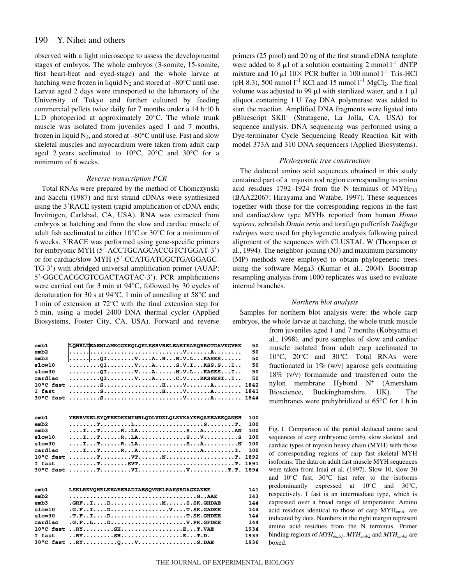observed with a light microscope to assess the developmental stages of embryos. The whole embryos (3-somite, 15-somite, first heart-beat and eyed-stage) and the whole larvae at hatching were frozen in liquid  $N_2$  and stored at  $-80^{\circ}$ C until use. Larvae aged 2 days were transported to the laboratory of the University of Tokyo and further cultured by feeding commercial pellets twice daily for 7 months under a 14 h:10 h L:D photoperiod at approximately 20°C. The whole trunk muscle was isolated from juveniles aged 1 and 7 months, frozen in liquid  $N_2$ , and stored at  $-80^{\circ}$ C until use. Fast and slow skeletal muscles and myocardium were taken from adult carp aged 2 years acclimated to  $10^{\circ}$ C,  $20^{\circ}$ C and  $30^{\circ}$ C for a minimum of 6 weeks.

### *Reverse-transcription PCR*

Total RNAs were prepared by the method of Chomczynski and Sacchi (1987) and first strand cDNAs were synthesized using the 3'RACE system (rapid amplification of cDNA ends; Invitrogen, Carlsbad, CA, USA). RNA was extracted from embryos at hatching and from the slow and cardiac muscle of adult fish acclimated to either 10°C or 30°C for a minimum of 6 weeks. 3'RACE was performed using gene-specific primers for embryonic MYH (5-ACCTGCAGCACCGTCTGGAT-3) or for cardiac/slow MYH (5-CCATGATGGCTGAGGAGC-TG-3) with abridged universal amplification primer (AUAP; 5-GGCCACGCGTCGACTAGTAC-3). PCR amplifications were carried out for 3 min at 94°C, followed by 30 cycles of denaturation for 30 s at 94 $^{\circ}$ C, 1 min of annealing at 58 $^{\circ}$ C and 1 min of extension at  $72^{\circ}$ C with the final extension step for 5 min, using a model 2400 DNA thermal cycler (Applied Biosystems, Foster City, CA, USA). Forward and reverse

| emb1                | LQHRLDEAENLAMKGGKKQLQKLESRVRELEAEIEAEQRRGTDAVKGVRK                                                                                                           | 50   |
|---------------------|--------------------------------------------------------------------------------------------------------------------------------------------------------------|------|
| emb2                |                                                                                                                                                              | 50   |
| emb3                |                                                                                                                                                              | 50   |
| slow10              | $\ldots \ldots \ldots$ . OI $\ldots \ldots \ldots$ $\ldots$ . $\ldots$ $\ldots$ . $\ldots$ . $\ldots$ . $\ldots$ . $\ldots$ . $\ldots$ . $\ldots$ . $\ldots$ | 50   |
| slow30              | $\ldots \ldots \ldots$ . OI $\ldots \ldots \ldots$ $\ldots$ . $\ldots$ $\ldots$ . $\ldots$ $\ldots$ $\ldots$ $\ldots$ . $\ldots$ . $\ldots$ . $\ldots$       | 50   |
| cardiac             | $\ldots \ldots \ldots$ OI $\ldots \ldots \ldots$ V $\ldots$ A $\ldots \ldots$ C.V $\ldots$ .KKSSESI $\ldots$ I $\ldots$                                      | 50   |
| $10^{\circ}$ C fast |                                                                                                                                                              | 1842 |
| I fast              |                                                                                                                                                              | 1841 |
| 30°C fast           |                                                                                                                                                              | 1844 |
|                     |                                                                                                                                                              |      |
|                     |                                                                                                                                                              |      |
|                     |                                                                                                                                                              |      |
| emb1                | <b>YERRVKELSYQTEEDKKNINRLQDLVDKLQLKVKAYKRQAEEAEEQANSH</b>                                                                                                    | 100  |
| emb2                |                                                                                                                                                              | 100  |
| emb3                | ITRLASAAN                                                                                                                                                    | 100  |
| slow10              | ITRLASVS                                                                                                                                                     | 100  |
| slow30              |                                                                                                                                                              | 100  |
| cardiac             |                                                                                                                                                              | 100  |
| 10°C fast           |                                                                                                                                                              | 1892 |
| I fast              |                                                                                                                                                              | 1891 |

| emb1    | <b>LSKLRKVOHELEEAEERADIAESOVNKLRAKSRDAGKAKEE</b> | 141  |
|---------|--------------------------------------------------|------|
| emb2    |                                                  | 143  |
| emb3    | $.GRFIDMMS.SK.GHDAE$                             | 144  |
| slow10  | $.G.F. I. D. V. T. SK. GADEE$                    | 144  |
| slow30  | T.FID                                            | 144  |
| cardiac | .G.FLD                                           | 144  |
|         | $10^{\circ}$ C fast RYSHET.VAE                   | 1934 |
|         | I fast $\ldots$ RYSHET.D.                        | 1933 |
|         | $30^{\circ}$ C fast RYQ $V$ S.DAE                | 1936 |

primers (25 pmol) and 20 ng of the first strand cDNA template were added to 8  $\mu$ l of a solution containing 2 mmol l<sup>-1</sup> dNTP mixture and 10  $\mu$ l 10 $\times$  PCR buffer in 100 mmol l<sup>-1</sup> Tris-HCl (pH 8.3), 500 mmol  $l^{-1}$  KCl and 15 mmol  $l^{-1}$  MgCl<sub>2</sub>. The final volume was adjusted to 99  $\mu$ l with sterilized water, and a 1  $\mu$ l aliquot containing 1 U Taq DNA polymerase was added to start the reaction. Amplified DNA fragments were ligated into pBluescript SKII– (Stratagene, La Jolla, CA, USA) for sequence analysis. DNA sequencing was performed using a Dye-terminator Cycle Sequencing Ready Reaction Kit with model 373A and 310 DNA sequencers (Applied Biosystems).

#### *Phylogenetic tree construction*

The deduced amino acid sequences obtained in this study contained part of a myosin rod region corresponding to amino acid residues 1792–1924 from the N terminus of  $MYH<sub>F10</sub>$ (BAA22067; Hirayama and Watabe, 1997). These sequences together with those for the corresponding regions in the fast and cardiac/slow type MYHs reported from human *Homo sapiens*, zebrafish *Danio rerio* and torafugu pufferfish *Takifugu rubripes* were used for phylogenetic analysis following paired alignment of the sequences with CLUSTAL W (Thompson et al., 1994). The neighbor-joining (NJ) and maximum parsimony (MP) methods were employed to obtain phylogenetic trees using the software Mega3 (Kumar et al., 2004). Bootstrap resampling analysis from 1000 replicates was used to evaluate internal branches.

#### *Northern blot analysis*

Samples for northern blot analysis were: the whole carp embryos, the whole larvae at hatching, the whole trunk muscle

> from juveniles aged 1 and 7 months (Kobiyama et al., 1998), and pure samples of slow and cardiac muscle isolated from adult carp acclimated to 10°C, 20°C and 30°C. Total RNAs were fractionated in 1% (w/v) agarose gels containing 18% (v/v) formamide and transferred onto the nylon membrane Hybond N<sup>+</sup> (Amersham Bioscience, Buckinghamshire, UK). The membranes were prehybridized at  $65^{\circ}$ C for 1 h in

Fig. 1. Comparison of the partial deduced amino acid sequences of carp embryonic (emb), slow skeletal and cardiac types of myosin heavy chain (MYH) with those of corresponding regions of carp fast skeletal MYH isoforms. The data on adult fast muscle MYH sequences were taken from Imai et al. (1997). Slow 10, slow 30 and 10°C fast, 30°C fast refer to the isoforms predominantly expressed at 10°C and 30°C, respectively. I fast is an intermediate type, which is expressed over a broad range of temperature. Amino acid residues identical to those of carp MYHemb1 are indicated by dots. Numbers in the right margin represent amino acid residues from the N terminus. Primer binding regions of *MYHemb1*, *MYHemb2* and *MYHemb3* are boxed.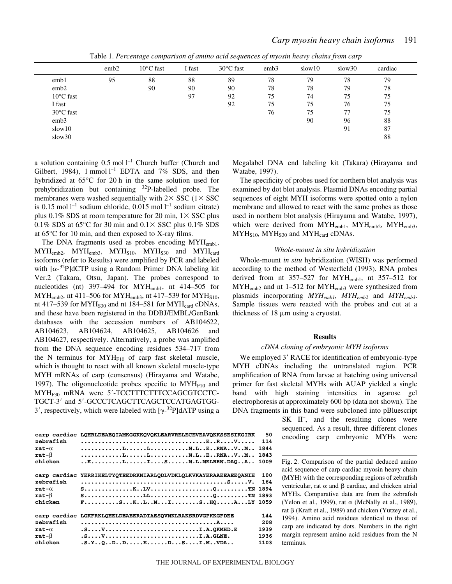|                     | emb2 | $10^{\circ}$ C fast | I fast | $30^{\circ}$ C fast | emb3 | slow 10 | slow30 | cardiac |
|---------------------|------|---------------------|--------|---------------------|------|---------|--------|---------|
| emb1                | 95   | 88                  | 88     | 89                  | 78   | 79      | 78     | 79      |
| emb <sub>2</sub>    |      | 90                  | 90     | 90                  | 78   | 78      | 79     | 78      |
| $10^{\circ}$ C fast |      |                     | 97     | 92                  | 75   | 74      | 75     | 75      |
| I fast              |      |                     |        | 92                  | 75   | 75      | 76     | 75      |
| $30^{\circ}$ C fast |      |                     |        |                     | 76   | 75      | 77     | 75      |
| emb <sub>3</sub>    |      |                     |        |                     |      | 90      | 96     | 88      |
| slow 10             |      |                     |        |                     |      |         | 91     | 87      |
| slow30              |      |                     |        |                     |      |         |        | 88      |

Table 1. Percentage comparison of amino acid sequences of myosin heavy chains from carp

a solution containing  $0.5 \text{ mol } l^{-1}$  Church buffer (Church and Gilbert, 1984), 1 mmol  $l^{-1}$  EDTA and 7% SDS, and then hybridized at  $65^{\circ}$ C for 20 h in the same solution used for prehybridization but containing  $32P$ -labelled probe. The membranes were washed sequentially with  $2 \times$  SSC ( $1 \times$  SSC is 0.15 mol  $l^{-1}$  sodium chloride, 0.015 mol  $l^{-1}$  sodium citrate) plus 0.1% SDS at room temperature for 20 min,  $1 \times$  SSC plus 0.1% SDS at 65 $\degree$ C for 30 min and 0.1 $\times$  SSC plus 0.1% SDS at  $65^{\circ}$ C for 10 min, and then exposed to X-ray films.

The DNA fragments used as probes encoding MYH<sub>emb1</sub>,  $MYH<sub>emb2</sub>, MYH<sub>emb3</sub>, MYH<sub>S10</sub>, MYH<sub>S30</sub> and MYH<sub>card</sub>$ isoforms (refer to Results) were amplified by PCR and labeled with  $[\alpha^{-32}P]$ dCTP using a Random Primer DNA labeling kit Ver.2 (Takara, Otsu, Japan). The probes correspond to nucleotides (nt) 397–494 for MYH<sub>emb1</sub>, nt 414–505 for  $MYH<sub>emb2</sub>$ , nt 411–506 for  $MYH<sub>emb3</sub>$ , nt 417–539 for  $MYH<sub>S10</sub>$ , nt 417–539 for  $MYH<sub>S30</sub>$  and nt 184–581 for  $MYH<sub>card</sub>$  cDNAs, and these have been registered in the DDBJ/EMBL/GenBank databases with the accession numbers of AB104622, AB104623, AB104624, AB104625, AB104626 and AB104627, respectively. Alternatively, a probe was amplified from the DNA sequence encoding residues 534–717 from the N terminus for  $MYH<sub>F10</sub>$  of carp fast skeletal muscle, which is thought to react with all known skeletal muscle-type MYH mRNAs of carp (consensus) (Hirayama and Watabe, 1997). The oligonucleotide probes specific to  $MYH<sub>F10</sub>$  and MYH<sub>F30</sub> mRNA were 5'-TCCTTTCTTTCCAGCGTCCTC-TGCT-3' and 5'-GCCCTCAGCTTCAGCTCCATGAGTGG-3', respectively, which were labeled with  $[\gamma^{-32}P]dATP$  using a

| zebrafish<br>$rat-\alpha$<br>rat- $\beta$<br>chicken | carp cardiac LOHRLDEAEOIAMKGGKKOVOKLEARVRELECEVEAVOKKSSESIKGIRK<br>$\ldots \ldots \ldots \ldots$<br>$\ldots \ldots \ldots \ldots \ldots \ldots \ldots$                                                                    | 50<br>114<br>1844<br>1843<br>1009  |
|------------------------------------------------------|---------------------------------------------------------------------------------------------------------------------------------------------------------------------------------------------------------------------------|------------------------------------|
| zebrafish<br>$rat-\alpha$<br>rat- $\beta$<br>chicken | carp cardiac YERRIKELTYOTEEDRKNIARLODLVDKLOLKVKAYKRAAEEAEEOANIH<br>$F_{1},,,S_{1},K_{1},K_{2},K_{3},,K_{4},,K_{5},,S_{6},H0,,A_{1},HY$ 1059                                                                               | 100<br>164                         |
| zebrafish<br>$rat-\alpha$<br>rat- $\beta$<br>chicken | carp cardiac LGKFRKLOHELDEAEERADIAESOVNKLRAKSRDVGPKKGFDEE<br>$.S. \ldots V. \ldots \ldots \ldots \ldots \ldots \ldots \ldots \ldots \ldots \ldots \ldots \ldots \ldots$<br>$.S.Y., .0., D., D., E., D., . S., I.M., VDA.$ | 144<br>208<br>1939<br>1936<br>1103 |

Megalabel DNA end labeling kit (Takara) (Hirayama and Watabe, 1997).

The specificity of probes used for northern blot analysis was examined by dot blot analysis. Plasmid DNAs encoding partial sequences of eight MYH isoforms were spotted onto a nylon membrane and allowed to react with the same probes as those used in northern blot analysis (Hirayama and Watabe, 1997), which were derived from MYH<sub>emb1</sub>, MYH<sub>emb2</sub>, MYH<sub>emb3</sub>,  $MYH<sub>S10</sub>, MYH<sub>S30</sub>$  and  $MYH<sub>card</sub>$  cDNAs.

### *Whole-mount in situ hybridization*

Whole-mount *in situ* hybridization (WISH) was performed according to the method of Westerfield (1993). RNA probes derived from nt  $357-527$  for MYH<sub>emb1</sub>, nt  $357-512$  for MYHemb2 and nt 1–512 for MYHemb3 were synthesized from plasmids incorporating *MYHemb1*, *MYHemb2* and *MYHemb3*. Sample tissues were reacted with the probes and cut at a thickness of  $18 \mu m$  using a cryostat.

### **Results**

#### *cDNA cloning of embryonic MYH isoforms*

We employed 3' RACE for identification of embryonic-type MYH cDNAs including the untranslated region. PCR amplification of RNA from larvae at hatching using universal primer for fast skeletal MYHs with AUAP yielded a single band with high staining intensities in agarose gel electrophoresis at approximately 600 bp (data not shown). The DNA fragments in this band were subcloned into pBluescript

> SK II<sup>-</sup>, and the resulting clones were sequenced. As a result, three different clones encoding carp embryonic MYHs were

> Fig. 2. Comparison of the partial deduced amino acid sequence of carp cardiac myosin heavy chain (MYH) with the corresponding regions of zebrafish ventricular, rat  $\alpha$  and  $\beta$  cardiac, and chicken atrial MYHs. Comparative data are from the zebrafish (Yelon et al., 1999), rat  $\alpha$  (McNally et al., 1989), rat  $\beta$  (Kraft et al., 1989) and chicken (Yutzey et al., 1994). Amino acid residues identical to those of carp are indicated by dots. Numbers in the right margin represent amino acid residues from the N terminus.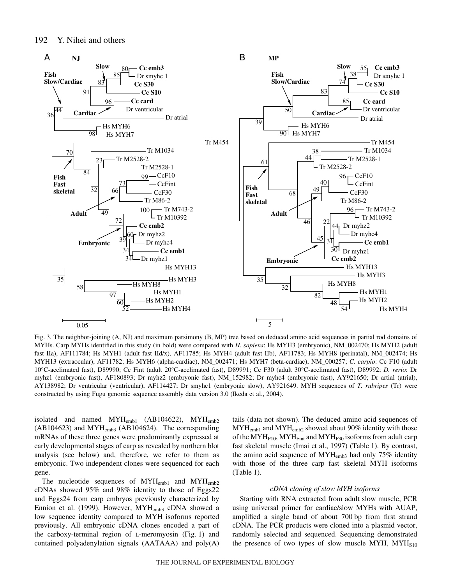

Fig. 3. The neighbor-joining (A, NJ) and maximum parsimony (B, MP) tree based on deduced amino acid sequences in partial rod domains of MYHs. Carp MYHs identified in this study (in bold) were compared with *H. sapiens*: Hs MYH3 (embryonic), NM\_002470; Hs MYH2 (adult fast IIa), AF111784; Hs MYH1 (adult fast IId/x), AF11785; Hs MYH4 (adult fast IIb), AF11783; Hs MYH8 (perinatal), NM\_002474; Hs MYH13 (extraocular), AF11782; Hs MYH6 (alpha-cardiac), NM\_002471; Hs MYH7 (beta-cardiac), NM\_000257; *C. carpio*: Cc F10 (adult 10°C-acclimated fast), D89990; Cc Fint (adult 20°C-acclimated fast), D89991; Cc F30 (adult 30°C-acclimated fast), D89992; *D. rerio*: Dr myhz1 (embryonic fast), AF180893; Dr myhz2 (embryonic fast), NM\_152982; Dr myhc4 (embryonic fast), AY921650; Dr artial (atrial), AY138982; Dr ventricular (ventricular), AF114427; Dr smyhc1 (embryonic slow), AY921649. MYH sequences of *T. rubripes* (Tr) were constructed by using Fugu genomic sequence assembly data version 3.0 (Ikeda et al., 2004).

isolated and named  $MYH_{emb1}$  (AB104622),  $MYH_{emb2}$  $(AB104623)$  and MYH<sub>emb3</sub> (AB104624). The corresponding mRNAs of these three genes were predominantly expressed at early developmental stages of carp as revealed by northern blot analysis (see below) and, therefore, we refer to them as embryonic. Two independent clones were sequenced for each gene.

The nucleotide sequences of  $MYH_{emb1}$  and  $MYH_{emb2}$ cDNAs showed 95% and 98% identity to those of Eggs22 and Eggs24 from carp embryos previously characterized by Ennion et al. (1999). However, MYH<sub>emb3</sub> cDNA showed a low sequence identity compared to MYH isoforms reported previously. All embryonic cDNA clones encoded a part of the carboxy-terminal region of  $L$ -meromyosin (Fig. 1) and contained polyadenylation signals (AATAAA) and poly(A) tails (data not shown). The deduced amino acid sequences of  $MYH_{emb1}$  and  $MYH_{emb2}$  showed about 90% identity with those of the  $MYH<sub>F10</sub>$ ,  $MYH<sub>Fint</sub>$  and  $MYH<sub>F30</sub>$  isoforms from adult carp fast skeletal muscle (Imai et al., 1997) (Table 1). By contrast, the amino acid sequence of MYHemb3 had only 75% identity with those of the three carp fast skeletal MYH isoforms  $(Table 1)$ .

### *cDNA cloning of slow MYH isoforms*

Starting with RNA extracted from adult slow muscle, PCR using universal primer for cardiac/slow MYHs with AUAP, amplified a single band of about 700 bp from first strand cDNA. The PCR products were cloned into a plasmid vector, randomly selected and sequenced. Sequencing demonstrated the presence of two types of slow muscle MYH,  $MYH<sub>S10</sub>$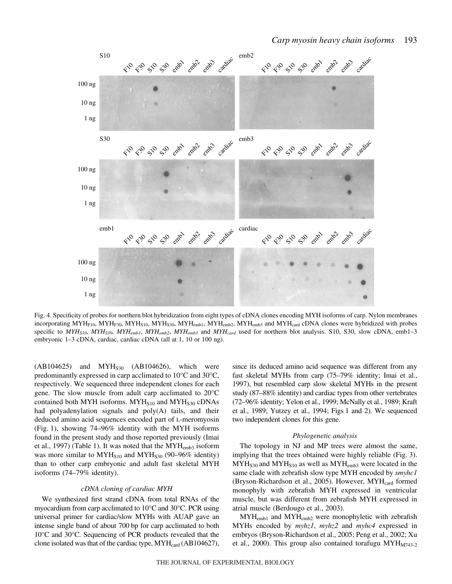

Fig. 4. Specificity of probes for northern blot hybridization from eight types of cDNA clones encoding MYH isoforms of carp. Nylon membranes incorporating MYH<sub>F10</sub>, MYH<sub>F30</sub>, MYH<sub>S10</sub>, MYH<sub>S30</sub>, MYH<sub>emb1</sub>, MYH<sub>emb2</sub>, MYH<sub>emb3</sub> and MYH<sub>card</sub> cDNA clones were hybridized with probes specific to *MYHS10*, *MYHS30*, *MYHemb1*, *MYHemb2*, *MYHemb3* and *MYHcard* used for northern blot analysis. S10, S30, slow cDNA, emb1–3 embryonic 1–3 cDNA, cardiac, cardiac cDNA (all at 1, 10 or 100 ng).

 $(AB104625)$  and  $MYH<sub>S30</sub>$   $(AB104626)$ , which were predominantly expressed in carp acclimated to 10°C and 30°C, respectively. We sequenced three independent clones for each gene. The slow muscle from adult carp acclimated to 20°C contained both MYH isoforms.  $MYH<sub>S10</sub>$  and  $MYH<sub>S30</sub>$  cDNAs had polyadenylation signals and poly(A) tails, and their deduced amino acid sequences encoded part of L-meromyosin  $(Fig. 1)$ , showing 74–96% identity with the MYH isoforms found in the present study and those reported previously (Imai et al., 1997) (Table 1). It was noted that the MYH<sub>emb3</sub> isoform was more similar to  $MYH<sub>S10</sub>$  and  $MYH<sub>S30</sub>$  (90–96% identity) than to other carp embryonic and adult fast skeletal MYH isoforms (74–79% identity).

# *cDNA cloning of cardiac MYH*

We synthesized first strand cDNA from total RNAs of the myocardium from carp acclimated to 10°C and 30°C. PCR using universal primer for cardiac/slow MYHs with AUAP gave an intense single band of about 700 bp for carp acclimated to both 10°C and 30°C. Sequencing of PCR products revealed that the clone isolated was that of the cardiac type, MYH<sub>card</sub> (AB104627), since its deduced amino acid sequence was different from any fast skeletal MYHs from carp (75–79% identity; Imai et al., 1997), but resembled carp slow skeletal MYHs in the present study (87–88% identity) and cardiac types from other vertebrates (72–96% identity; Yelon et al., 1999; McNally et al., 1989; Kraft et al., 1989; Yutzey et al., 1994; Figs 1 and 2). We sequenced two independent clones for this gene.

#### *Phylogenetic analysis*

The topology in NJ and MP trees were almost the same, implying that the trees obtained were highly reliable (Fig. 3).  $MYH<sub>S30</sub>$  and  $MYH<sub>S10</sub>$  as well as  $MYH<sub>emb3</sub>$  were located in the same clade with zebrafish slow type MYH encoded by *smyhc1* (Bryson-Richardson et al., 2005). However, MYHcard formed monophyly with zebrafish MYH expressed in ventricular muscle, but was different from zebrafish MYH expressed in atrial muscle (Berdougo et al., 2003).

 $MYH<sub>emb1</sub>$  and  $MYH<sub>emb2</sub>$  were monophyletic with zebrafish MYHs encoded by *myhz1*, *myhz2* and *myhc4* expressed in embryos (Bryson-Richardson et al., 2005; Peng et al., 2002; Xu et al., 2000). This group also contained torafugu  $M Y H_{M743-2}$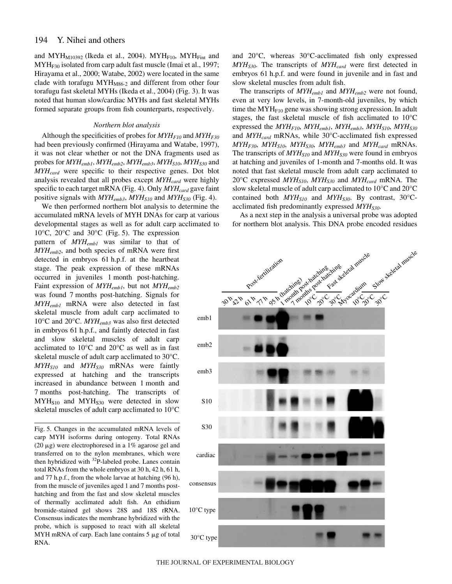and MYH $_{\text{M10392}}$  (Ikeda et al., 2004). MYH $_{\text{F10}}$ , MYH $_{\text{Fint}}$  and  $MYH<sub>F30</sub>$  isolated from carp adult fast muscle (Imai et al., 1997; Hirayama et al., 2000; Watabe, 2002) were located in the same clade with torafugu  $MYH<sub>M86-2</sub>$  and different from other four torafugu fast skeletal MYHs (Ikeda et al., 2004) (Fig. 3). It was noted that human slow/cardiac MYHs and fast skeletal MYHs formed separate groups from fish counterparts, respectively.

#### *Northern blot analysis*

Although the specificities of probes for  $MYH<sub>F10</sub>$  and  $MYH<sub>F30</sub>$ had been previously confirmed (Hirayama and Watabe, 1997), it was not clear whether or not the DNA fragments used as probes for  $MYH_{emb1}$ ,  $MYH_{emb2}$ ,  $MYH_{emb3}$ ,  $MYH_{S10}$ ,  $MYH_{S30}$  and *MYHcard* were specific to their respective genes. Dot blot analysis revealed that all probes except  $MYH_{card}$  were highly specific to each target mRNA (Fig. 4). Only  $MYH_{card}$  gave faint positive signals with  $MYH_{emb3}$ ,  $MYH_{S10}$  and  $MYH_{S30}$  (Fig. 4).

We then performed northern blot analysis to determine the accumulated mRNA levels of MYH DNAs for carp at various developmental stages as well as for adult carp acclimated to

10 $\rm ^{o}C$ , 20 $\rm ^{o}C$  and 30 $\rm ^{o}C$  (Fig. 5). The expression pattern of *MYHemb1* was similar to that of *MYHemb2*, and both species of mRNA were first detected in embryos 61 h.p.f. at the heartbeat stage. The peak expression of these mRNAs occurred in juveniles 1 month post-hatching. Faint expression of *MYHemb1*, but not *MYHemb2* was found 7 months post-hatching. Signals for *MYHemb1* mRNA were also detected in fast skeletal muscle from adult carp acclimated to 10°C and 20°C. *MYHemb3* was also first detected in embryos 61 h.p.f., and faintly detected in fast and slow skeletal muscles of adult carp acclimated to 10°C and 20°C as well as in fast skeletal muscle of adult carp acclimated to 30°C. *MYHS10* and *MYHS30* mRNAs were faintly expressed at hatching and the transcripts increased in abundance between 1 month and 7 months post-hatching. The transcripts of  $MYH<sub>S10</sub>$  and  $MYH<sub>S30</sub>$  were detected in slow skeletal muscles of adult carp acclimated to 10°C

Fig. 5. Changes in the accumulated mRNA levels of carp MYH isoforms during ontogeny. Total RNAs (20  $\mu$ g) were electrophoresed in a 1% agarose gel and transferred on to the nylon membranes, which were then hybridized with 32P-labeled probe. Lanes contain total RNAs from the whole embryos at 30 h, 42 h, 61 h, and 77 h.p.f., from the whole larvae at hatching (96 h), from the muscle of juveniles aged 1 and 7 months posthatching and from the fast and slow skeletal muscles of thermally acclimated adult fish. An ethidium bromide-stained gel shows 28S and 18S rRNA. Consensus indicates the membrane hybridized with the probe, which is supposed to react with all skeletal MYH mRNA of carp. Each lane contains  $5 \mu$ g of total RNA.

and 20°C, whereas 30°C-acclimated fish only expressed *MYH<sub>S30</sub>*. The transcripts of *MYH<sub>card</sub>* were first detected in embryos 61 h.p.f. and were found in juvenile and in fast and slow skeletal muscles from adult fish.

The transcripts of *MYHemb1* and *MYHemb2* were not found, even at very low levels, in 7-month-old juveniles, by which time the  $MYH<sub>F10</sub>$  gene was showing strong expression. In adult stages, the fast skeletal muscle of fish acclimated to 10°C expressed the  $MYH_{F10}$ ,  $MYH_{emb1}$ ,  $MYH_{emb3}$ ,  $MYH_{S10}$ ,  $MYH_{S30}$ and  $MYH_{card}$  mRNAs, while 30°C-acclimated fish expressed  $MYH_{F30}$ ,  $MYH_{S10}$ ,  $MYH_{S30}$ ,  $MYH_{emb3}$  and  $MYH_{card}$  mRNAs. The transcripts of  $MYH<sub>S10</sub>$  and  $MYH<sub>S30</sub>$  were found in embryos at hatching and juveniles of 1-month and 7-months old. It was noted that fast skeletal muscle from adult carp acclimated to 20°C expressed *MYHS10*, *MYHS30* and *MYHcard* mRNA. The slow skeletal muscle of adult carp acclimated to 10°C and 20°C contained both  $MYH<sub>S10</sub>$  and  $MYH<sub>S30</sub>$ . By contrast, 30°Cacclimated fish predominantly expressed  $MYH<sub>S30</sub>$ .

As a next step in the analysis a universal probe was adopted for northern blot analysis. This DNA probe encoded residues

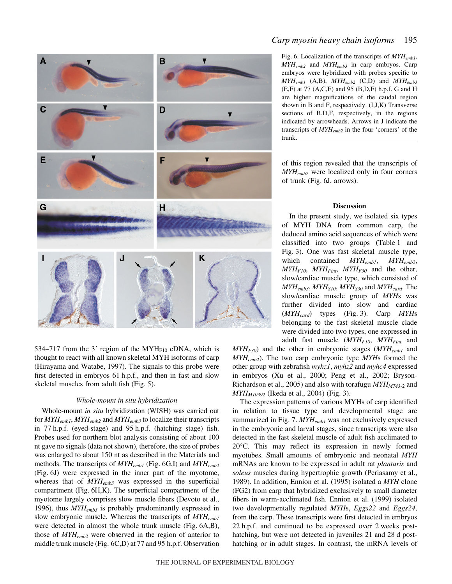

534–717 from the 3' region of the MYH $_{F10}$  cDNA, which is thought to react with all known skeletal MYH isoforms of carp (Hirayama and Watabe, 1997). The signals to this probe were first detected in embryos 61 h.p.f., and then in fast and slow skeletal muscles from adult fish (Fig. 5).

# *Whole-mount in situ hybridization*

Whole-mount *in situ* hybridization (WISH) was carried out for *MYHemb1*, *MYHemb2* and *MYHemb3* to localize their transcripts in 77 h.p.f. (eyed-stage) and 95 h.p.f. (hatching stage) fish. Probes used for northern blot analysis consisting of about 100 nt gave no signals (data not shown), therefore, the size of probes was enlarged to about 150 nt as described in the Materials and methods. The transcripts of  $MYH_{emb1}$  (Fig. 6G,I) and  $MYH_{emb2}$ (Fig. 6J) were expressed in the inner part of the myotome, whereas that of *MYHemb3* was expressed in the superficial compartment (Fig. 6H,K). The superficial compartment of the myotome largely comprises slow muscle fibers (Devoto et al., 1996), thus *MYHemb3* is probably predominantly expressed in slow embryonic muscle. Whereas the transcripts of *MYHemb1* were detected in almost the whole trunk muscle (Fig.  $6A,B$ ), those of *MYHemb2* were observed in the region of anterior to middle trunk muscle (Fig. 6C,D) at 77 and 95 h.p.f. Observation Fig. 6. Localization of the transcripts of  $MYH_{emb1}$ , *MYHemb2* and *MYHemb3* in carp embryos. Carp embryos were hybridized with probes specific to *MYHemb1* (A,B), *MYHemb2* (C,D) and *MYHemb3* (E,F) at 77 (A,C,E) and 95 (B,D,F) h.p.f. G and H are higher magnifications of the caudal region shown in B and F, respectively. (I,J,K) Transverse sections of B,D,F, respectively, in the regions indicated by arrowheads. Arrows in J indicate the transcripts of *MYHemb2* in the four 'corners' of the trunk.

of this region revealed that the transcripts of *MYHemb2* were localized only in four corners of trunk (Fig. 6J, arrows).

#### **Discussion**

In the present study, we isolated six types of MYH DNA from common carp, the deduced amino acid sequences of which were classified into two groups (Table 1 and Fig. 3). One was fast skeletal muscle type, which contained *MYHemb1*, *MYHemb2*,  $MYH<sub>F10</sub>, MYH<sub>Fint</sub>, MYH<sub>F30</sub>$  and the other, slow/cardiac muscle type, which consisted of  $MYH_{emb3}$ ,  $MYH_{S10}$ ,  $MYH_{S30}$  and  $MYH_{card}$ . The slow/cardiac muscle group of *MYH*s was further divided into slow and cardiac (*MYH<sub>card</sub>*) types (Fig. 3). Carp *MYH*s belonging to the fast skeletal muscle clade were divided into two types, one expressed in adult fast muscle (*MYHF10*, *MYHFint* and

*MYHF30*) and the other in embryonic stages (*MYHemb1* and *MYHemb2*). The two carp embryonic type *MYH*s formed the other group with zebrafish *myhz1*, *myhz2* and *myhc4* expressed in embryos (Xu et al., 2000; Peng et al., 2002; Bryson-Richardson et al., 2005) and also with torafugu  $M Y H_{M743-2}$  and  $MYH<sub>M10392</sub>$  (Ikeda et al., 2004) (Fig. 3).

The expression patterns of various MYHs of carp identified in relation to tissue type and developmental stage are summarized in Fig. 7. *MYH<sub>emb1</sub>* was not exclusively expressed in the embryonic and larval stages, since transcripts were also detected in the fast skeletal muscle of adult fish acclimated to 20°C. This may reflect its expression in newly formed myotubes. Small amounts of embryonic and neonatal *MYH* mRNAs are known to be expressed in adult rat *plantaris* and *soleus* muscles during hypertrophic growth (Periasamy et al., 1989). In addition, Ennion et al. (1995) isolated a *MYH* clone (FG2) from carp that hybridized exclusively to small diameter fibers in warm-acclimated fish. Ennion et al. (1999) isolated two developmentally regulated *MYH*s, *Eggs22* and *Eggs24*, from the carp. These transcripts were first detected in embryos 22 h.p.f. and continued to be expressed over 2 weeks posthatching, but were not detected in juveniles 21 and 28 d posthatching or in adult stages. In contrast, the mRNA levels of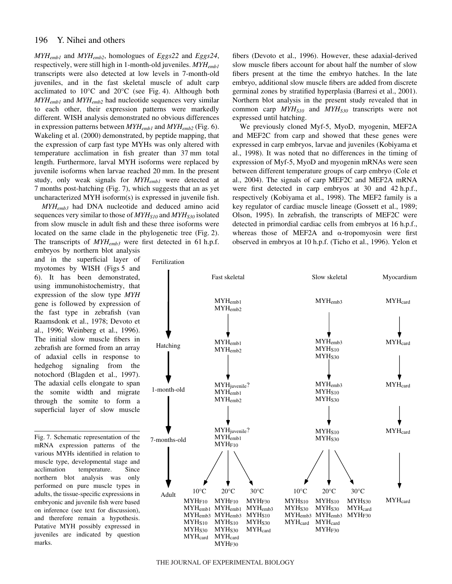*MYHemb1* and *MYHemb2*, homologues of *Eggs22* and *Eggs24*, respectively, were still high in 1-month-old juveniles. *MYHemb1* transcripts were also detected at low levels in 7-month-old juveniles, and in the fast skeletal muscle of adult carp acclimated to  $10^{\circ}$ C and  $20^{\circ}$ C (see Fig. 4). Although both *MYHemb1* and *MYHemb2* had nucleotide sequences very similar to each other, their expression patterns were markedly different. WISH analysis demonstrated no obvious differences in expression patterns between  $MYH_{emb1}$  and  $MYH_{emb2}$  (Fig. 6). Wakeling et al. (2000) demonstrated, by peptide mapping, that the expression of carp fast type MYHs was only altered with temperature acclimation in fish greater than 37 mm total length. Furthermore, larval MYH isoforms were replaced by juvenile isoforms when larvae reached 20 mm. In the present study, only weak signals for *MYHemb1* were detected at 7 months post-hatching (Fig. 7), which suggests that an as yet uncharacterized MYH isoform(s) is expressed in juvenile fish.

*MYHemb3* had DNA nucleotide and deduced amino acid sequences very similar to those of  $MYH<sub>S10</sub>$  and  $MYH<sub>S30</sub>$  isolated from slow muscle in adult fish and these three isoforms were located on the same clade in the phylogenetic tree (Fig. 2). The transcripts of  $MYH_{emb3}$  were first detected in 61 h.p.f. embryos by northern blot analysis

and in the superficial layer of myotomes by WISH (Figs 5 and 6). It has been demonstrated, using immunohistochemistry, that expression of the slow type *MYH* gene is followed by expression of the fast type in zebrafish (van Raamsdonk et al., 1978; Devoto et al., 1996; Weinberg et al., 1996). The initial slow muscle fibers in zebrafish are formed from an array of adaxial cells in response to hedgehog signaling from the notochord (Blagden et al., 1997). The adaxial cells elongate to span the somite width and migrate through the somite to form a superficial layer of slow muscle

Fig. 7. Schematic representation of the mRNA expression patterns of the various MYHs identified in relation to muscle type, developmental stage and acclimation temperature. Since northern blot analysis was only performed on pure muscle types in adults, the tissue-specific expressions in embryonic and juvenile fish were based on inference (see text for discussion), and therefore remain a hypothesis. Putative MYH possibly expressed in juveniles are indicated by question marks.

Fertilization

fibers (Devoto et al., 1996). However, these adaxial-derived slow muscle fibers account for about half the number of slow fibers present at the time the embryo hatches. In the late embryo, additional slow muscle fibers are added from discrete germinal zones by stratified hyperplasia (Barresi et al., 2001). Northern blot analysis in the present study revealed that in common carp  $MYH<sub>S10</sub>$  and  $MYH<sub>S30</sub>$  transcripts were not expressed until hatching.

We previously cloned Myf-5, MyoD, myogenin, MEF2A and MEF2C from carp and showed that these genes were expressed in carp embryos, larvae and juveniles (Kobiyama et al., 1998). It was noted that no differences in the timing of expression of Myf-5, MyoD and myogenin mRNAs were seen between different temperature groups of carp embryo (Cole et al., 2004). The signals of carp MEF2C and MEF2A mRNA were first detected in carp embryos at  $30$  and  $42$  h.p.f., respectively (Kobiyama et al., 1998). The MEF2 family is a key regulator of cardiac muscle lineage (Gossett et al., 1989; Olson, 1995). In zebrafish, the transcripts of MEF2C were detected in primordial cardiac cells from embryos at 16 h.p.f., whereas those of MEF2A and  $\alpha$ -tropomyosin were first observed in embryos at 10 h.p.f. (Ticho et al., 1996). Yelon et

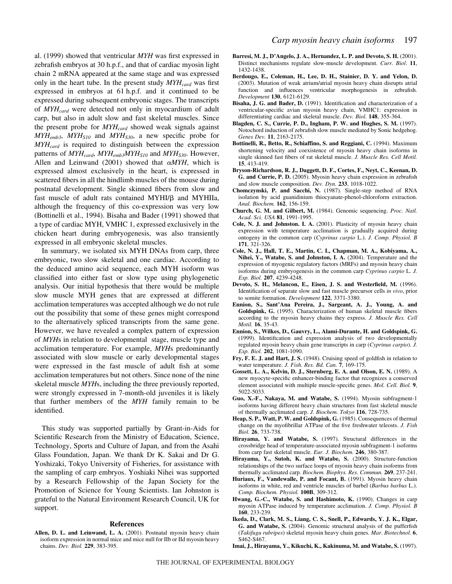al. (1999) showed that ventricular *MYH* was first expressed in zebrafish embryos at 30 h.p.f., and that of cardiac myosin light chain 2 mRNA appeared at the same stage and was expressed only in the heart tube. In the present study  $MYH_{card}$  was first expressed in embryos at 61 h.p.f. and it continued to be expressed during subsequent embryonic stages. The transcripts of *MYHcard* were detected not only in myocardium of adult carp, but also in adult slow and fast skeletal muscles. Since the present probe for *MYHcard* showed weak signals against  $MYH_{emb3}$ ,  $MYH_{S10}$  and  $MYH_{S30}$ , a new specific probe for *MYHcard* is required to distinguish between the expression patterns of  $MYH_{card}$ ,  $MYH_{emb3}MYH_{S10}$  and  $MYH_{S30}$ . However, Allen and Leinwand (2001) showed that  $\alpha M Y H$ , which is expressed almost exclusively in the heart, is expressed in scattered fibers in all the hindlimb muscles of the mouse during postnatal development. Single skinned fibers from slow and fast muscle of adult rats contained MYHI/ $\beta$  and MYHIIa, although the frequency of this co-expression was very low (Bottinelli et al., 1994). Bisaha and Bader (1991) showed that a type of cardiac MYH, VMHC 1, expressed exclusively in the chicken heart during embryogenesis, was also transiently expressed in all embryonic skeletal muscles.

In summary, we isolated six MYH DNAs from carp, three embryonic, two slow skeletal and one cardiac. According to the deduced amino acid sequence, each MYH isoform was classified into either fast or slow type using phylogenetic analysis. Our initial hypothesis that there would be multiple slow muscle MYH genes that are expressed at different acclimation temperatures was accepted although we do not rule out the possibility that some of these genes might correspond to the alternatively spliced transcripts from the same gene. However, we have revealed a complex pattern of expression of *MYH*s in relation to developmental stage, muscle type and acclimation temperature. For example, *MYH*s predominantly associated with slow muscle or early developmental stages were expressed in the fast muscle of adult fish at some acclimation temperatures but not others. Since none of the nine skeletal muscle *MYH*s, including the three previously reported, were strongly expressed in 7-month-old juveniles it is likely that further members of the *MYH* family remain to be identified.

This study was supported partially by Grant-in-Aids for Scientific Research from the Ministry of Education, Science, Technology, Sports and Culture of Japan, and from the Asahi Glass Foundation, Japan. We thank Dr K. Sakai and Dr G. Yoshizaki, Tokyo University of Fisheries, for assistance with the sampling of carp embryos. Yoshiaki Nihei was supported by a Research Fellowship of the Japan Society for the Promotion of Science for Young Scientists. Ian Johnston is grateful to the Natural Environment Research Council, UK for support.

#### **References**

**Allen, D. L. and Leinwand, L. A.** (2001). Postnatal myosin heavy chain isoform expression in normal mice and mice null for IIb or IId myosin heavy chains. *Dev. Biol.* **229**, 383-395.

- **Barresi, M. J., D'Angelo, J. A., Hernandez, L. P. and Devoto, S. H.** (2001). Distinct mechanisms regulate slow-muscle development. *Curr. Biol*. **11**, 1432-1438.
- **Berdougo, E., Coleman, H., Lee, D. H., Stainier, D. Y. and Yelon, D.** (2003). Mutation of weak atrium/atrial myosin heavy chain disrupts atrial function and influences ventricular morphogenesis in zebrafish. *Development* **130**, 6121-6129.
- **Bisaha, J. G. and Bader, D.** (1991). Identification and characterization of a ventricular-specific avian myosin heavy chain, VMHC1: expression in differentiating cardiac and skeletal muscle. *Dev. Biol.* **148**, 355-364.
- **Blagden, C. S., Currie, P. D., Ingham, P. W. and Hughes, S. M.** (1997). Notochord induction of zebrafish slow muscle mediated by Sonic hedgehog. *Genes Dev.* **11**, 2163-2175.
- **Bottinelli, R., Betto, R., Schiaffino, S. and Reggiani, C.** (1994). Maximum shortening velocity and coexistence of myosin heavy chain isoforms in single skinned fast fibers of rat skeletal muscle. *J. Muscle Res. Cell Motil.* **15**, 413-419.
- **Bryson-Richardson, R. J., Daggett, D. F., Cortes, F., Neyt, C., Keenan, D. G. and Currie, P. D.** (2005). Myosin heavy chain expression in zebrafish and slow muscle composition. *Dev. Dyn.* **233**, 1018-1022.
- **Chomczynski, P. and Sacchi, N.** (1987). Single-step method of RNA isolation by acid guanidinium thiocyanate-phenol-chloroform extraction. *Anal. Biochem.* **162**, 156-159.
- **Church, G. M. and Gilbert, M.** (1984). Genomic sequencing. *Proc. Natl. Acad. Sci. USA* **81**, 1991-1995.
- **Cole, N. J. and Johnston. I. A.** (2001). Plasticity of myosin heavy chain expression with temperature acclimation is gradually acquired during ontogeny in the common carp (*Cyprinus carpio* L.). *J. Comp. Physiol. B* **171**, 321-326.
- **Cole, N. J., Hall, T. E., Martin, C. I., Chapman, M. A., Kobiyama, A., Nihei, Y., Watabe, S. and Johnston, I. A.** (2004). Temperature and the expression of myogenic regulatory factors (MRFs) and myosin heavy chain isoforms during embryogenesis in the common carp *Cyprinus carpio* L. *J. Exp. Biol.* **207**, 4239-4248.
- **Devoto, S. H., Melancon, E., Eisen, J. S. and Westerfield, M.** (1996). Identification of separate slow and fast muscle precursor cells *in vivo*, prior to somite formation. *Development* **122**, 3371-3380.
- **Ennion, S., Sant'Ana Pereira, J., Sargeant, A. J., Young, A. and Goldspink, G.** (1995). Characterization of human skeletal muscle fibers according to the myosin heavy chains they express. *J. Muscle Res. Cell Motil.* **16**, 35-43.
- **Ennion, S., Wilkes, D., Gauvry, L., Alami-Durante, H. and Goldspink, G.** (1999). Identification and expression analysis of two developmentally regulated myosin heavy chain gene transcripts in carp (*Cyprinus carpio*). *J. Exp. Biol.* **202**, 1081-1090.
- **Fry, F. E. J. and Hart, J. S.** (1948). Cruising speed of goldfish in relation to water temperature. *J. Fish. Res. Bd. Can.* **7**, 169-175.
- **Gossett, L. A., Kelvin, D. J., Sternberg, E. A. and Olson, E. N.** (1989). A new myocyte-specific enhancer-binding factor that recognizes a conserved element associated with multiple muscle-specific genes. *Mol. Cell. Biol.* **9**, 5022-5033.
- **Guo, X.-F., Nakaya, M. and Watabe, S.** (1994). Myosin subfragment-1 isoforms having different heavy chain structures from fast skeletal muscle of thermally acclimated carp. *J. Biochem. Tokyo* **116**, 728-735.
- **Heap, S. P., Watt, P. W. and Goldspink, G.** (1985). Consequences of thermal change on the myofibrillar ATPase of the five freshwater teleosts. *J. Fish Biol.* **26**, 733-738.
- **Hirayama, Y. and Watabe, S.** (1997). Structural differences in the crossbridge head of temperature-associated myosin subfragment-1 isoforms from carp fast skeletal muscle. *Eur. J. Biochem.* **246**, 380-387.
- **Hirayama, Y., Sutoh, K. and Watabe, S.** (2000). Structure-function relationships of the two surface loops of myosin heavy chain isoforms from thermally acclimated carp. *Biochem. Biophys. Res. Commun.* **269**, 237-241.
- **Huriaux, F., Vandewalle, P. and Focant, B.** (1991). Myosin heavy chain isoforms in white, red and ventricle muscles of barbel (*Barbus barbus* L.). *Comp. Biochem. Physiol.* **100B**, 309-312.
- **Hwang, G.-C., Watabe, S. and Hashimoto, K.** (1990). Changes in carp myosin ATPase induced by temperature acclimation. *J. Comp. Physiol. B* **160**, 233-239.
- **Ikeda, D., Clark, M. S., Liang, C. S., Snell, P., Edwards, Y. J. K., Elgar, G. and Watabe, S.** (2004). Genomic structural analysis of the pufferfish (*Takifugu rubripes*) skeletal myosin heavy chain genes. *Mar. Biotechnol*. **6**, S462-S467.
- **Imai, J., Hirayama, Y., Kikuchi, K., Kakinuma, M. and Watabe, S.** (1997).